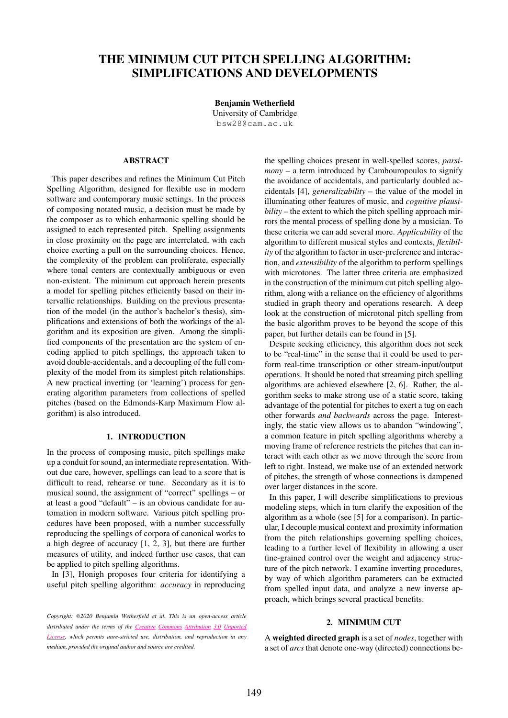# THE MINIMUM CUT PITCH SPELLING ALGORITHM: SIMPLIFICATIONS AND DEVELOPMENTS

Benjamin Wetherfield University of Cambridge [bsw28@cam.ac.uk](mailto:author1@adomain.org)

## ABSTRACT

This paper describes and refines the Minimum Cut Pitch Spelling Algorithm, designed for flexible use in modern software and contemporary music settings. In the process of composing notated music, a decision must be made by the composer as to which enharmonic spelling should be assigned to each represented pitch. Spelling assignments in close proximity on the page are interrelated, with each choice exerting a pull on the surrounding choices. Hence, the complexity of the problem can proliferate, especially where tonal centers are contextually ambiguous or even non-existent. The minimum cut approach herein presents a model for spelling pitches efficiently based on their intervallic relationships. Building on the previous presentation of the model (in the author's bachelor's thesis), simplifications and extensions of both the workings of the algorithm and its exposition are given. Among the simplified components of the presentation are the system of encoding applied to pitch spellings, the approach taken to avoid double-accidentals, and a decoupling of the full complexity of the model from its simplest pitch relationships. A new practical inverting (or 'learning') process for generating algorithm parameters from collections of spelled pitches (based on the Edmonds-Karp Maximum Flow algorithm) is also introduced.

## 1. INTRODUCTION

In the process of composing music, pitch spellings make up a conduit for sound, an intermediate representation. Without due care, however, spellings can lead to a score that is difficult to read, rehearse or tune. Secondary as it is to musical sound, the assignment of "correct" spellings – or at least a good "default" – is an obvious candidate for automation in modern software. Various pitch spelling procedures have been proposed, with a number successfully reproducing the spellings of corpora of canonical works to a high degree of accuracy [1, 2, 3], but there are further measures of utility, and indeed further use cases, that can be applied to pitch spelling algorithms.

In [3], Honigh proposes four criteria for identifying a useful pitch spelling algorithm: *accuracy* in reproducing the spelling choices present in well-spelled scores, *parsimony* – a term introduced by Cambouropoulos to signify the avoidance of accidentals, and particularly doubled accidentals [4], *generalizability* – the value of the model in illuminating other features of music, and *cognitive plausibility* – the extent to which the pitch spelling approach mirrors the mental process of spelling done by a musician. To these criteria we can add several more. *Applicability* of the algorithm to different musical styles and contexts, *flexibility* of the algorithm to factor in user-preference and interaction, and *extensibility* of the algorithm to perform spellings with microtones. The latter three criteria are emphasized in the construction of the minimum cut pitch spelling algorithm, along with a reliance on the efficiency of algorithms studied in graph theory and operations research. A deep look at the construction of microtonal pitch spelling from the basic algorithm proves to be beyond the scope of this paper, but further details can be found in [5].

Despite seeking efficiency, this algorithm does not seek to be "real-time" in the sense that it could be used to perform real-time transcription or other stream-input/output operations. It should be noted that streaming pitch spelling algorithms are achieved elsewhere [2, 6]. Rather, the algorithm seeks to make strong use of a static score, taking advantage of the potential for pitches to exert a tug on each other forwards *and backwards* across the page. Interestingly, the static view allows us to abandon "windowing", a common feature in pitch spelling algorithms whereby a moving frame of reference restricts the pitches that can interact with each other as we move through the score from left to right. Instead, we make use of an extended network of pitches, the strength of whose connections is dampened over larger distances in the score.

In this paper, I will describe simplifications to previous modeling steps, which in turn clarify the exposition of the algorithm as a whole (see [5] for a comparison). In particular, I decouple musical context and proximity information from the pitch relationships governing spelling choices, leading to a further level of flexibility in allowing a user fine-grained control over the weight and adjacency structure of the pitch network. I examine inverting procedures, by way of which algorithm parameters can be extracted from spelled input data, and analyze a new inverse approach, which brings several practical benefits.

## 2. MINIMUM CUT

A weighted directed graph is a set of *nodes*, together with a set of *arcs*that denote one-way (directed) connections be-

*Copyright:* ©*2020 Benjamin Wetherfield et al. This is an open-access article [distributed](http://creativecommons.org/licenses/by/3.0/) under the terms of the Creative Commons Attribution 3.0 Unported License, which permits unre-stricted use, distribution, and reproduction in any medium, provided the original author and source are credited.*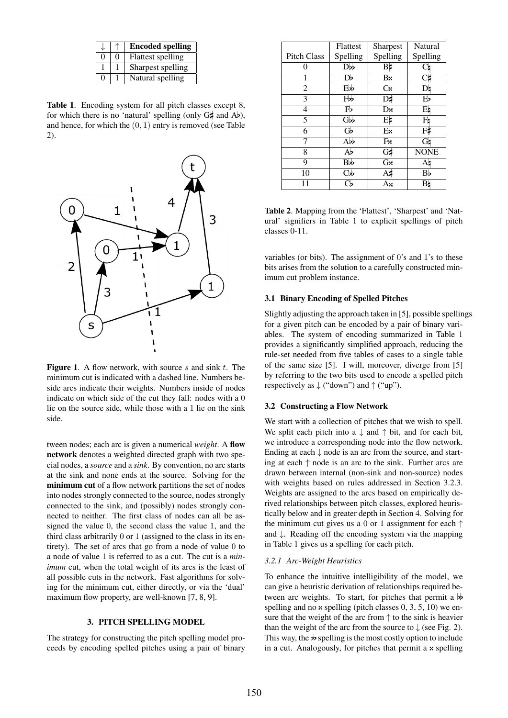|               |          | <b>Encoded spelling</b>  |
|---------------|----------|--------------------------|
| $\Omega$      | $\Omega$ | <b>Flattest spelling</b> |
|               |          | Sharpest spelling        |
| $\mathcal{O}$ |          | Natural spelling         |

Table 1. Encoding system for all pitch classes except 8, for which there is no 'natural' spelling (only  $G_{\nparallel}^{\mu}$  and Ab), and hence, for which the  $(0, 1)$  entry is removed (see Table 2).



**Figure 1.** A flow network, with source s and sink  $t$ . The minimum cut is indicated with a dashed line. Numbers beside arcs indicate their weights. Numbers inside of nodes indicate on which side of the cut they fall: nodes with a 0 lie on the source side, while those with a 1 lie on the sink side.

tween nodes; each arc is given a numerical *weight*. A flow network denotes a weighted directed graph with two special nodes, a *source* and a *sink*. By convention, no arc starts at the sink and none ends at the source. Solving for the minimum cut of a flow network partitions the set of nodes into nodes strongly connected to the source, nodes strongly connected to the sink, and (possibly) nodes strongly connected to neither. The first class of nodes can all be assigned the value 0, the second class the value 1, and the third class arbitrarily 0 or 1 (assigned to the class in its entirety). The set of arcs that go from a node of value 0 to a node of value 1 is referred to as a cut. The cut is a *minimum* cut, when the total weight of its arcs is the least of all possible cuts in the network. Fast algorithms for solving for the minimum cut, either directly, or via the 'dual' maximum flow property, are well-known [7, 8, 9].

## 3. PITCH SPELLING MODEL

The strategy for constructing the pitch spelling model proceeds by encoding spelled pitches using a pair of binary

|                    | Flattest             | Sharpest   | Natural     |
|--------------------|----------------------|------------|-------------|
| <b>Pitch Class</b> | Spelling             | Spelling   | Spelling    |
| 0                  | Db                   | В‡         | Сh          |
| 1                  | Db                   | $B \times$ |             |
| 2                  | Ebb                  | $C_{X}$    | D۱          |
| 3                  | Fb                   | D‡         | Eb          |
| $\overline{4}$     | $F_{P}$              | Dx         | Eh          |
| 5                  | Gb                   | E‡         | Fb          |
| 6                  | Gb                   | Ex         | Ft          |
| 7                  | Abb                  | Fx         | Gh          |
| 8                  | Ab                   | $G\sharp$  | <b>NONE</b> |
| 9                  | Bb                   | Gx         | A۵          |
| 10                 | $\mathbf C\mathbf w$ | At         | Вb          |
|                    |                      | Ax         | Bh          |

Table 2. Mapping from the 'Flattest', 'Sharpest' and 'Natural' signifiers in Table 1 to explicit spellings of pitch classes 0-11.

variables (or bits). The assignment of 0's and 1's to these bits arises from the solution to a carefully constructed minimum cut problem instance.

#### 3.1 Binary Encoding of Spelled Pitches

Slightly adjusting the approach taken in [5], possible spellings for a given pitch can be encoded by a pair of binary variables. The system of encoding summarized in Table 1 provides a significantly simplified approach, reducing the rule-set needed from five tables of cases to a single table of the same size [5]. I will, moreover, diverge from [5] by referring to the two bits used to encode a spelled pitch respectively as  $\downarrow$  ("down") and  $\uparrow$  ("up").

## 3.2 Constructing a Flow Network

We start with a collection of pitches that we wish to spell. We split each pitch into a  $\downarrow$  and  $\uparrow$  bit, and for each bit, we introduce a corresponding node into the flow network. Ending at each  $\downarrow$  node is an arc from the source, and starting at each ↑ node is an arc to the sink. Further arcs are drawn between internal (non-sink and non-source) nodes with weights based on rules addressed in Section 3.2.3. Weights are assigned to the arcs based on empirically derived relationships between pitch classes, explored heuristically below and in greater depth in Section 4. Solving for the minimum cut gives us a 0 or 1 assignment for each  $\uparrow$ and ↓. Reading off the encoding system via the mapping in Table 1 gives us a spelling for each pitch.

#### *3.2.1 Arc-Weight Heuristics*

To enhance the intuitive intelligibility of the model, we can give a heuristic derivation of relationships required between arc weights. To start, for pitches that permit a  $\flat$ spelling and no  $x$  spelling (pitch classes 0, 3, 5, 10) we ensure that the weight of the arc from  $\uparrow$  to the sink is heavier than the weight of the arc from the source to  $\downarrow$  (see Fig. 2). This way, the  $\flat$  spelling is the most costly option to include in a cut. Analogously, for pitches that permit a  $x$  spelling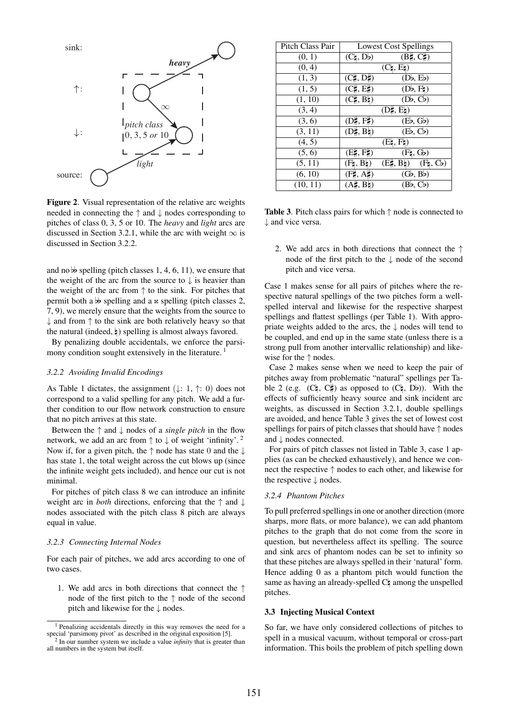

Figure 2. Visual representation of the relative arc weights needed in connecting the ↑ and ↓ nodes corresponding to pitches of class 0, 3, 5 or 10. The *heavy* and *light* arcs are discussed in Section 3.2.1, while the arc with weight  $\infty$  is discussed in Section 3.2.2.

and no  $\not\phi$  spelling (pitch classes 1, 4, 6, 11), we ensure that the weight of the arc from the source to  $\downarrow$  is heavier than the weight of the arc from  $\uparrow$  to the sink. For pitches that permit both a  $\phi$  spelling and a  $\alpha$  spelling (pitch classes 2, 7, 9), we merely ensure that the weights from the source to  $\downarrow$  and from  $\uparrow$  to the sink are both relatively heavy so that the natural (indeed,  $\vert$ ) spelling is almost always favored.

By penalizing double accidentals, we enforce the parsimony condition sought extensively in the literature.<sup>1</sup>

## *3.2.2 Avoiding Invalid Encodings*

As Table 1 dictates, the assignment  $( \downarrow : 1, \uparrow : 0)$  does not correspond to a valid spelling for any pitch. We add a further condition to our flow network construction to ensure that no pitch arrives at this state.

Between the ↑ and ↓ nodes of a *single pitch* in the flow network, we add an arc from  $\uparrow$  to  $\downarrow$  of weight 'infinity'.<sup>2</sup> Now if, for a given pitch, the  $\uparrow$  node has state 0 and the  $\downarrow$ has state 1, the total weight across the cut blows up (since the infinite weight gets included), and hence our cut is not minimal.

For pitches of pitch class 8 we can introduce an infinite weight arc in *both* directions, enforcing that the ↑ and ↓ nodes associated with the pitch class 8 pitch are always equal in value.

## *3.2.3 Connecting Internal Nodes*

For each pair of pitches, we add arcs according to one of two cases.

1. We add arcs in both directions that connect the ↑ node of the first pitch to the ↑ node of the second pitch and likewise for the ↓ nodes.

| <b>Pitch Class Pair</b> |                                | <b>Lowest Cost Spellings</b>             |
|-------------------------|--------------------------------|------------------------------------------|
| (0, 1)                  | $(C_4, D_2)$                   | $(B\sharp, C\sharp)$                     |
| (0, 4)                  |                                | $(C_4, E_4)$                             |
| (1, 3)                  | $(C_1^{\sharp}, D_1^{\sharp})$ | (Db, Eb)                                 |
| (1, 5)                  | $(C\sharp, E\sharp)$           | (Db, Fb)                                 |
| (1, 10)                 | $(C_1, B_2)$                   | (Db, Cb)                                 |
| (3, 4)                  |                                | $(D_7, E_7)$                             |
| (3, 6)                  | $(D\sharp, F\sharp)$           | (Eb, Gb)                                 |
| (3, 11)                 | $(D\sharp, B\natural)$         | (Eb, Cb)                                 |
| (4, 5)                  |                                | $(E_4, F_4)$                             |
| (5, 6)                  | (E, F)                         | $(F_4, G_5)$                             |
| (5, 11)                 | $(F_4, B_4)$                   | $(E\sharp, B\sharp)$ $(F\sharp, C\flat)$ |
| (6, 10)                 | $(F\sharp, A\sharp)$           | (Gb, Bb)                                 |
| (10, 11)                | $(A\sharp, B\sharp)$           | (Bb, Cb)                                 |
|                         |                                |                                          |

**Table 3.** Pitch class pairs for which  $\uparrow$  node is connected to ↓ and vice versa.

2. We add arcs in both directions that connect the ↑ node of the first pitch to the ↓ node of the second pitch and vice versa.

Case 1 makes sense for all pairs of pitches where the respective natural spellings of the two pitches form a wellspelled interval and likewise for the respective sharpest spellings and flattest spellings (per Table 1). With appropriate weights added to the arcs, the  $\downarrow$  nodes will tend to be coupled, and end up in the same state (unless there is a strong pull from another intervallic relationship) and likewise for the ↑ nodes.

Case 2 makes sense when we need to keep the pair of pitches away from problematic "natural" spellings per Table 2 (e.g.  $(C_4, C_5)$  as opposed to  $(C_7, D_2)$ ). With the effects of sufficiently heavy source and sink incident arc weights, as discussed in Section 3.2.1, double spellings are avoided, and hence Table 3 gives the set of lowest cost spellings for pairs of pitch classes that should have ↑ nodes and ↓ nodes connected.

For pairs of pitch classes not listed in Table 3, case 1 applies (as can be checked exhaustively), and hence we connect the respective ↑ nodes to each other, and likewise for the respective ↓ nodes.

## *3.2.4 Phantom Pitches*

To pull preferred spellings in one or another direction (more sharps, more flats, or more balance), we can add phantom pitches to the graph that do not come from the score in question, but nevertheless affect its spelling. The source and sink arcs of phantom nodes can be set to infinity so that these pitches are always spelled in their 'natural' form. Hence adding 0 as a phantom pitch would function the same as having an already-spelled  $C_7$  among the unspelled pitches.

## 3.3 Injecting Musical Context

So far, we have only considered collections of pitches to spell in a musical vacuum, without temporal or cross-part information. This boils the problem of pitch spelling down

<sup>&</sup>lt;sup>1</sup> Penalizing accidentals directly in this way removes the need for a special 'parsimony pivot' as described in the original exposition [5].

<sup>2</sup> In our number system we include a value *infinity* that is greater than all numbers in the system but itself.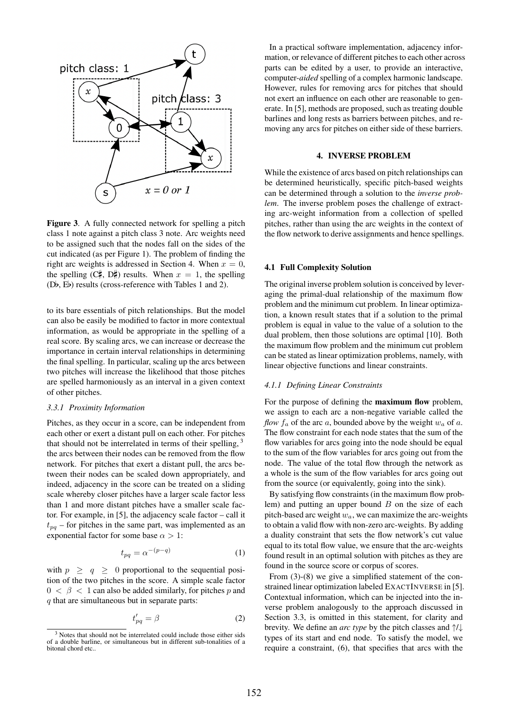

Figure 3. A fully connected network for spelling a pitch class 1 note against a pitch class 3 note. Arc weights need to be assigned such that the nodes fall on the sides of the cut indicated (as per Figure 1). The problem of finding the right arc weights is addressed in Section 4. When  $x = 0$ , the spelling  $(C_1^{\sharp}, D_1^{\sharp})$  results. When  $x = 1$ , the spelling  $(Db, Eb)$  results (cross-reference with Tables 1 and 2).

to its bare essentials of pitch relationships. But the model can also be easily be modified to factor in more contextual information, as would be appropriate in the spelling of a real score. By scaling arcs, we can increase or decrease the importance in certain interval relationships in determining the final spelling. In particular, scaling up the arcs between two pitches will increase the likelihood that those pitches are spelled harmoniously as an interval in a given context of other pitches.

## *3.3.1 Proximity Information*

Pitches, as they occur in a score, can be independent from each other or exert a distant pull on each other. For pitches that should not be interrelated in terms of their spelling,  $3$ the arcs between their nodes can be removed from the flow network. For pitches that exert a distant pull, the arcs between their nodes can be scaled down appropriately, and indeed, adjacency in the score can be treated on a sliding scale whereby closer pitches have a larger scale factor less than 1 and more distant pitches have a smaller scale factor. For example, in [5], the adjacency scale factor – call it  $t_{pq}$  – for pitches in the same part, was implemented as an exponential factor for some base  $\alpha > 1$ :

$$
t_{pq} = \alpha^{-(p-q)} \tag{1}
$$

with  $p \ge q \ge 0$  proportional to the sequential position of the two pitches in the score. A simple scale factor  $0 < \beta < 1$  can also be added similarly, for pitches p and  $q$  that are simultaneous but in separate parts:

$$
t'_{pq} = \beta \tag{2}
$$

In a practical software implementation, adjacency information, or relevance of different pitches to each other across parts can be edited by a user, to provide an interactive, computer-*aided* spelling of a complex harmonic landscape. However, rules for removing arcs for pitches that should not exert an influence on each other are reasonable to generate. In [5], methods are proposed, such as treating double barlines and long rests as barriers between pitches, and removing any arcs for pitches on either side of these barriers.

## 4. INVERSE PROBLEM

While the existence of arcs based on pitch relationships can be determined heuristically, specific pitch-based weights can be determined through a solution to the *inverse problem*. The inverse problem poses the challenge of extracting arc-weight information from a collection of spelled pitches, rather than using the arc weights in the context of the flow network to derive assignments and hence spellings.

#### 4.1 Full Complexity Solution

The original inverse problem solution is conceived by leveraging the primal-dual relationship of the maximum flow problem and the minimum cut problem. In linear optimization, a known result states that if a solution to the primal problem is equal in value to the value of a solution to the dual problem, then those solutions are optimal [10]. Both the maximum flow problem and the minimum cut problem can be stated as linear optimization problems, namely, with linear objective functions and linear constraints.

### *4.1.1 Defining Linear Constraints*

For the purpose of defining the maximum flow problem, we assign to each arc a non-negative variable called the *flow*  $f_a$  of the arc  $a$ , bounded above by the weight  $w_a$  of  $a$ . The flow constraint for each node states that the sum of the flow variables for arcs going into the node should be equal to the sum of the flow variables for arcs going out from the node. The value of the total flow through the network as a whole is the sum of the flow variables for arcs going out from the source (or equivalently, going into the sink).

By satisfying flow constraints (in the maximum flow problem) and putting an upper bound  $B$  on the size of each pitch-based arc weight  $w_a$ , we can maximize the arc-weights to obtain a valid flow with non-zero arc-weights. By adding a duality constraint that sets the flow network's cut value equal to its total flow value, we ensure that the arc-weights found result in an optimal solution with pitches as they are found in the source score or corpus of scores.

From (3)-(8) we give a simplified statement of the constrained linear optimization labeled EXACTINVERSE in [5]. Contextual information, which can be injected into the inverse problem analogously to the approach discussed in Section 3.3, is omitted in this statement, for clarity and brevity. We define an *arc type* by the pitch classes and ↑/↓ types of its start and end node. To satisfy the model, we require a constraint, (6), that specifies that arcs with the

<sup>3</sup> Notes that should not be interrelated could include those either sids of a double barline, or simultaneous but in different sub-tonalities of a bitonal chord etc..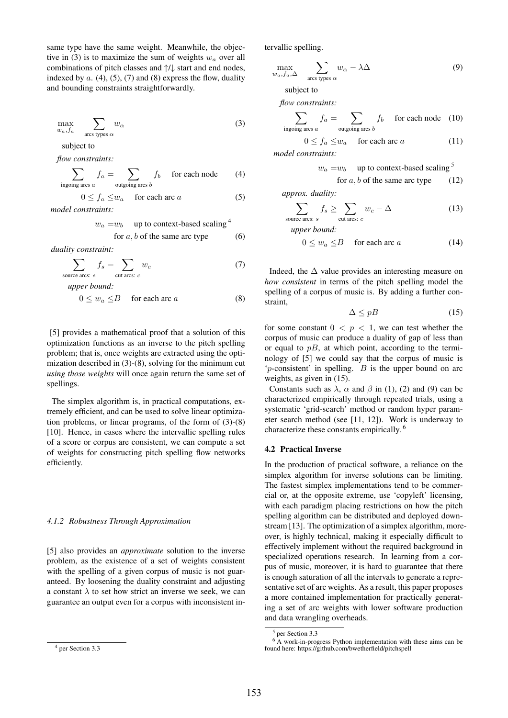same type have the same weight. Meanwhile, the objective in (3) is to maximize the sum of weights  $w_a$  over all combinations of pitch classes and ↑/↓ start and end nodes, indexed by  $a$ . (4), (5), (7) and (8) express the flow, duality and bounding constraints straightforwardly.

$$
\max_{w_a, f_a} \sum_{\text{arcs types } \alpha} w_\alpha \tag{3}
$$

subject to

*flow constraints:*

$$
\sum_{\text{ingoing arcs } a} f_a = \sum_{\text{outgoing arcs } b} f_b \quad \text{for each node} \tag{4}
$$

$$
0 \le f_a \le w_a \quad \text{ for each arc } a \tag{5}
$$

*model constraints:*

$$
w_a = w_b
$$
 up to context-based scaling<sup>4</sup>

for 
$$
a, b
$$
 of the same arc type (6)

*duality constraint:*

$$
\sum_{\text{source arcs: } s} f_s = \sum_{\text{cut arcs: } c} w_c \tag{7}
$$

*upper bound:*

$$
0 \le w_a \le B \quad \text{for each arc } a \tag{8}
$$

[5] provides a mathematical proof that a solution of this optimization functions as an inverse to the pitch spelling problem; that is, once weights are extracted using the optimization described in (3)-(8), solving for the minimum cut *using those weights* will once again return the same set of spellings.

The simplex algorithm is, in practical computations, extremely efficient, and can be used to solve linear optimization problems, or linear programs, of the form of (3)-(8) [10]. Hence, in cases where the intervallic spelling rules of a score or corpus are consistent, we can compute a set of weights for constructing pitch spelling flow networks efficiently.

#### *4.1.2 Robustness Through Approximation*

[5] also provides an *approximate* solution to the inverse problem, as the existence of a set of weights consistent with the spelling of a given corpus of music is not guaranteed. By loosening the duality constraint and adjusting a constant  $\lambda$  to set how strict an inverse we seek, we can guarantee an output even for a corpus with inconsistent intervallic spelling.

$$
\max_{w_{\alpha}, f_{\alpha}, \Delta} \sum_{\text{arcs types } \alpha} w_{\alpha} - \lambda \Delta \tag{9}
$$

subject to

*flow constraints:*

$$
\sum_{\text{ingoing arcs } a} f_a = \sum_{\text{outgoing arcs } b} f_b \quad \text{ for each node} \quad (10)
$$

$$
0 \le f_a \le w_a \quad \text{ for each arc } a \tag{11}
$$

*model constraints:*

$$
w_a = w_b
$$
 up to context-based scaling<sup>5</sup>  
for *a*, *b* of the same arc type (12)

*approx. duality:*

 $\epsilon$ ou

$$
\sum_{\text{area arcs: } s} f_s \ge \sum_{\text{cut arcs: } c} w_c - \Delta \tag{13}
$$

*upper bound:*

$$
0 \le w_a \le B \quad \text{ for each arc } a \tag{14}
$$

Indeed, the  $\Delta$  value provides an interesting measure on *how consistent* in terms of the pitch spelling model the spelling of a corpus of music is. By adding a further constraint,

$$
\Delta \le pB \tag{15}
$$

for some constant  $0 < p < 1$ , we can test whether the corpus of music can produce a duality of gap of less than or equal to  $pB$ , at which point, according to the terminology of [5] we could say that the corpus of music is  $p$ -consistent' in spelling.  $B$  is the upper bound on arc weights, as given in (15).

Constants such as  $\lambda$ ,  $\alpha$  and  $\beta$  in (1), (2) and (9) can be characterized empirically through repeated trials, using a systematic 'grid-search' method or random hyper parameter search method (see [11, 12]). Work is underway to characterize these constants empirically. 6

#### 4.2 Practical Inverse

In the production of practical software, a reliance on the simplex algorithm for inverse solutions can be limiting. The fastest simplex implementations tend to be commercial or, at the opposite extreme, use 'copyleft' licensing, with each paradigm placing restrictions on how the pitch spelling algorithm can be distributed and deployed downstream [13]. The optimization of a simplex algorithm, moreover, is highly technical, making it especially difficult to effectively implement without the required background in specialized operations research. In learning from a corpus of music, moreover, it is hard to guarantee that there is enough saturation of all the intervals to generate a representative set of arc weights. As a result, this paper proposes a more contained implementation for practically generating a set of arc weights with lower software production and data wrangling overheads.

<sup>4</sup> per Section 3.3

<sup>5</sup> per Section 3.3

<sup>6</sup> A work-in-progress Python implementation with these aims can be found here: https://github.com/bwetherfield/pitchspell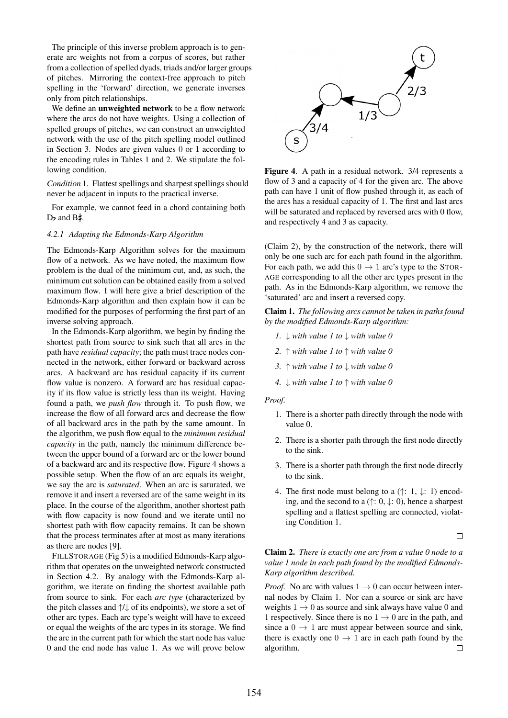The principle of this inverse problem approach is to generate arc weights not from a corpus of scores, but rather from a collection of spelled dyads, triads and/or larger groups of pitches. Mirroring the context-free approach to pitch spelling in the 'forward' direction, we generate inverses only from pitch relationships.

We define an unweighted network to be a flow network where the arcs do not have weights. Using a collection of spelled groups of pitches, we can construct an unweighted network with the use of the pitch spelling model outlined in Section 3. Nodes are given values 0 or 1 according to the encoding rules in Tables 1 and 2. We stipulate the following condition.

*Condition* 1*.* Flattest spellings and sharpest spellings should never be adjacent in inputs to the practical inverse.

For example, we cannot feed in a chord containing both  $D\flat$  and  $B\sharp$ .

## *4.2.1 Adapting the Edmonds-Karp Algorithm*

The Edmonds-Karp Algorithm solves for the maximum flow of a network. As we have noted, the maximum flow problem is the dual of the minimum cut, and, as such, the minimum cut solution can be obtained easily from a solved maximum flow. I will here give a brief description of the Edmonds-Karp algorithm and then explain how it can be modified for the purposes of performing the first part of an inverse solving approach.

In the Edmonds-Karp algorithm, we begin by finding the shortest path from source to sink such that all arcs in the path have *residual capacity*; the path must trace nodes connected in the network, either forward or backward across arcs. A backward arc has residual capacity if its current flow value is nonzero. A forward arc has residual capacity if its flow value is strictly less than its weight. Having found a path, we *push flow* through it. To push flow, we increase the flow of all forward arcs and decrease the flow of all backward arcs in the path by the same amount. In the algorithm, we push flow equal to the *minimum residual capacity* in the path, namely the minimum difference between the upper bound of a forward arc or the lower bound of a backward arc and its respective flow. Figure 4 shows a possible setup. When the flow of an arc equals its weight, we say the arc is *saturated*. When an arc is saturated, we remove it and insert a reversed arc of the same weight in its place. In the course of the algorithm, another shortest path with flow capacity is now found and we iterate until no shortest path with flow capacity remains. It can be shown that the process terminates after at most as many iterations as there are nodes [9].

FILLSTORAGE (Fig 5) is a modified Edmonds-Karp algorithm that operates on the unweighted network constructed in Section 4.2. By analogy with the Edmonds-Karp algorithm, we iterate on finding the shortest available path from source to sink. For each *arc type* (characterized by the pitch classes and ↑/↓ of its endpoints), we store a set of other arc types. Each arc type's weight will have to exceed or equal the weights of the arc types in its storage. We find the arc in the current path for which the start node has value 0 and the end node has value 1. As we will prove below



Figure 4. A path in a residual network. 3/4 represents a flow of 3 and a capacity of 4 for the given arc. The above path can have 1 unit of flow pushed through it, as each of the arcs has a residual capacity of 1. The first and last arcs will be saturated and replaced by reversed arcs with 0 flow, and respectively 4 and 3 as capacity.

(Claim 2), by the construction of the network, there will only be one such arc for each path found in the algorithm. For each path, we add this  $0 \rightarrow 1$  arc's type to the STOR-AGE corresponding to all the other arc types present in the path. As in the Edmonds-Karp algorithm, we remove the 'saturated' arc and insert a reversed copy.

Claim 1. *The following arcs cannot be taken in paths found by the modified Edmonds-Karp algorithm:*

- *1.* ↓ *with value 1 to* ↓ *with value 0*
- *2.* ↑ *with value 1 to* ↑ *with value 0*
- *3.* ↑ *with value 1 to* ↓ *with value 0*
- *4.* ↓ *with value 1 to* ↑ *with value 0*

### *Proof.*

- 1. There is a shorter path directly through the node with value 0.
- 2. There is a shorter path through the first node directly to the sink.
- 3. There is a shorter path through the first node directly to the sink.
- 4. The first node must belong to a  $(\uparrow$ : 1,  $\downarrow$ : 1) encoding, and the second to a  $(\uparrow; 0, \downarrow; 0)$ , hence a sharpest spelling and a flattest spelling are connected, violating Condition 1.

 $\Box$ 

## Claim 2. *There is exactly one arc from a value 0 node to a value 1 node in each path found by the modified Edmonds-Karp algorithm described.*

*Proof.* No arc with values  $1 \rightarrow 0$  can occur between internal nodes by Claim 1. Nor can a source or sink arc have weights  $1 \rightarrow 0$  as source and sink always have value 0 and 1 respectively. Since there is no  $1 \rightarrow 0$  arc in the path, and since a  $0 \rightarrow 1$  arc must appear between source and sink, there is exactly one  $0 \rightarrow 1$  arc in each path found by the algorithm.  $\Box$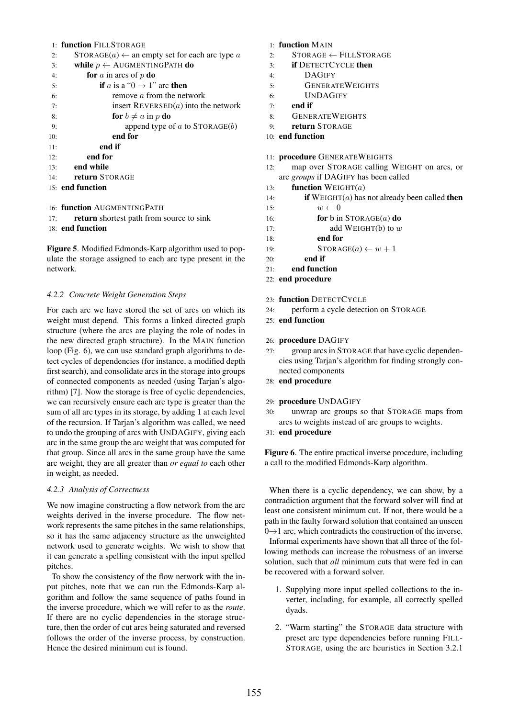## 1: function FILL STORAGE

| 2:  | $STORAGE(a) \leftarrow$ an empty set for each arc type a |
|-----|----------------------------------------------------------|
| 3:  | while $p \leftarrow$ AUGMENTINGPATH do                   |
| 4:  | <b>for</b> a in arcs of p <b>do</b>                      |
| 5:  | <b>if</b> a is a " $0 \rightarrow 1$ " arc <b>then</b>   |
| 6:  | remove $a$ from the network                              |
| 7:  | insert $REVERSE(a)$ into the network                     |
| 8:  | for $b \neq a$ in p do                                   |
| 9:  | append type of a to $STORAGE(b)$                         |
| 10: | end for                                                  |
| 11: | end if                                                   |
| 12: | end for                                                  |
| 13: | end while                                                |
| 14: | return STORAGE                                           |
|     | 15: end function                                         |
|     |                                                          |
|     |                                                          |

16: function AUGMENTINGPATH

- 17: return shortest path from source to sink
- 18: end function

Figure 5. Modified Edmonds-Karp algorithm used to populate the storage assigned to each arc type present in the network.

## *4.2.2 Concrete Weight Generation Steps*

For each arc we have stored the set of arcs on which its weight must depend. This forms a linked directed graph structure (where the arcs are playing the role of nodes in the new directed graph structure). In the MAIN function loop (Fig. 6), we can use standard graph algorithms to detect cycles of dependencies (for instance, a modified depth first search), and consolidate arcs in the storage into groups of connected components as needed (using Tarjan's algorithm) [7]. Now the storage is free of cyclic dependencies, we can recursively ensure each arc type is greater than the sum of all arc types in its storage, by adding 1 at each level of the recursion. If Tarjan's algorithm was called, we need to undo the grouping of arcs with UNDAGIFY, giving each arc in the same group the arc weight that was computed for that group. Since all arcs in the same group have the same arc weight, they are all greater than *or equal to* each other in weight, as needed.

## *4.2.3 Analysis of Correctness*

We now imagine constructing a flow network from the arc weights derived in the inverse procedure. The flow network represents the same pitches in the same relationships, so it has the same adjacency structure as the unweighted network used to generate weights. We wish to show that it can generate a spelling consistent with the input spelled pitches.

To show the consistency of the flow network with the input pitches, note that we can run the Edmonds-Karp algorithm and follow the same sequence of paths found in the inverse procedure, which we will refer to as the *route*. If there are no cyclic dependencies in the storage structure, then the order of cut arcs being saturated and reversed follows the order of the inverse process, by construction. Hence the desired minimum cut is found.

## 1: function MAIN

- $2:$  STORAGE ← FILLSTORAGE
- 3: if DETECTCYCLE then
- 4: DAGIFY
- 5: GENERATEWEIGHTS
- 6: UNDAGIFY
- $7:$  end if
- 8: GENERATEWEIGHTS
- 9: return STORAGE
- 10: end function

## 11: procedure GENERATEWEIGHTS

- 12: map over STORAGE calling WEIGHT on arcs, or arc *groups* if DAGIFY has been called
- 13: **function**  $WEIGHT(a)$
- 14: **if**  $WEIGHT(a)$  has not already been called **then**
- 15:  $w \leftarrow 0$
- 16: **for** b in  $\text{STORAGE}(a)$  do
- 17: **add WEIGHT(b)** to  $w$
- 18: end for
- 19:  $\text{STORAGE}(a) \leftarrow w + 1$
- 20: end if
- 21: end function
- 22: end procedure
- 23: function DETECTCYCLE
- 24: perform a cycle detection on STORAGE
- 25: end function

## 26: procedure DAGIFY

- 27: group arcs in STORAGE that have cyclic dependencies using Tarjan's algorithm for finding strongly connected components
- 28: end procedure
- 29: procedure UNDAGIFY
- 30: unwrap arc groups so that STORAGE maps from arcs to weights instead of arc groups to weights.
- 31: end procedure

Figure 6. The entire practical inverse procedure, including a call to the modified Edmonds-Karp algorithm.

When there is a cyclic dependency, we can show, by a contradiction argument that the forward solver will find at least one consistent minimum cut. If not, there would be a path in the faulty forward solution that contained an unseen  $0 \rightarrow 1$  arc, which contradicts the construction of the inverse.

Informal experiments have shown that all three of the following methods can increase the robustness of an inverse solution, such that *all* minimum cuts that were fed in can be recovered with a forward solver.

- 1. Supplying more input spelled collections to the inverter, including, for example, all correctly spelled dyads.
- 2. "Warm starting" the STORAGE data structure with preset arc type dependencies before running FILL-STORAGE, using the arc heuristics in Section 3.2.1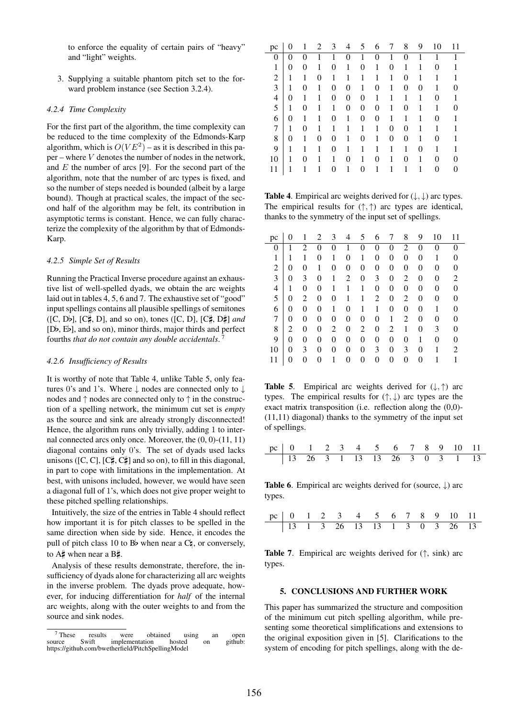to enforce the equality of certain pairs of "heavy" and "light" weights.

3. Supplying a suitable phantom pitch set to the forward problem instance (see Section 3.2.4).

## *4.2.4 Time Complexity*

For the first part of the algorithm, the time complexity can be reduced to the time complexity of the Edmonds-Karp algorithm, which is  $O(VE^2)$  – as it is described in this pa $per$  – where  $V$  denotes the number of nodes in the network, and  $E$  the number of arcs [9]. For the second part of the algorithm, note that the number of arc types is fixed, and so the number of steps needed is bounded (albeit by a large bound). Though at practical scales, the impact of the second half of the algorithm may be felt, its contribution in asymptotic terms is constant. Hence, we can fully characterize the complexity of the algorithm by that of Edmonds-Karp.

## *4.2.5 Simple Set of Results*

Running the Practical Inverse procedure against an exhaustive list of well-spelled dyads, we obtain the arc weights laid out in tables 4, 5, 6 and 7. The exhaustive set of "good" input spellings contains all plausible spellings of semitones  $([C, Db], [C\sharp, D],$  and so on), tones  $([C, D], [C\sharp, D\sharp]$  *and* [D2, E2], and so on), minor thirds, major thirds and perfect fourths *that do not contain any double accidentals*. 7

## *4.2.6 Insufficiency of Results*

It is worthy of note that Table 4, unlike Table 5, only features 0's and 1's. Where  $\downarrow$  nodes are connected only to  $\downarrow$ nodes and ↑ nodes are connected only to ↑ in the construction of a spelling network, the minimum cut set is *empty* as the source and sink are already strongly disconnected! Hence, the algorithm runs only trivially, adding 1 to internal connected arcs only once. Moreover, the (0, 0)-(11, 11) diagonal contains only 0's. The set of dyads used lacks unisons ([C, C], [C $\sharp$ , C $\sharp$ ] and so on), to fill in this diagonal, in part to cope with limitations in the implementation. At best, with unisons included, however, we would have seen a diagonal full of 1's, which does not give proper weight to these pitched spelling relationships.

Intuitively, the size of the entries in Table 4 should reflect how important it is for pitch classes to be spelled in the same direction when side by side. Hence, it encodes the pull of pitch class 10 to B<sub>p</sub> when near a  $C_4$ , or conversely, to  $A\sharp$  when near a  $B\sharp$ .

Analysis of these results demonstrate, therefore, the insufficiency of dyads alone for characterizing all arc weights in the inverse problem. The dyads prove adequate, however, for inducing differentiation for *half* of the internal arc weights, along with the outer weights to and from the source and sink nodes.

| pc             |          | 1 | 2 | 3        | 4              | 5 | 6 | 7 | 8 | 9        | 10 | 11 |
|----------------|----------|---|---|----------|----------------|---|---|---|---|----------|----|----|
| 0              | 0        |   |   |          | 0              |   | 0 |   | 0 | 1        |    |    |
| 1              | 0        | 0 |   | 0        | 1              | 0 | 1 | 0 | 1 | 1        | 0  |    |
| $\overline{2}$ | 1        | 1 | 0 | 1        |                | 1 | 1 | 1 | 0 | 1        |    |    |
| 3              |          | 0 | 1 | 0        | $\overline{0}$ | 1 | 0 | 1 | 0 | $\theta$ |    |    |
| 4              | $\theta$ | 1 |   | 0        | 0              | 0 | 1 | 1 | 1 | 1        | 0  |    |
| 5              | 1        | 0 | 1 | 1        | 0              | 0 | 0 | 1 | 0 | 1        | 1  |    |
| 6              | 0        | 1 |   | 0        | 1              | 0 | 0 | 1 | 1 | 1        | 0  |    |
| 7              | 1        | 0 |   |          |                |   | 1 | 0 | 0 |          |    |    |
| 8              | 0        | 1 | 0 | $\theta$ | 1              | 0 | 1 | 0 | 0 | 1        | 0  |    |
| 9              | 1        |   | 1 | $\theta$ |                | 1 |   | 1 | 1 | 0        |    |    |
| 10             |          | 0 |   | 1        | 0              | 1 | 0 | 1 | 0 | 1        | 0  | 0  |
| 11             |          |   |   | 0        |                | 0 |   |   |   |          | 0  |    |

**Table 4.** Empirical arc weights derived for  $(\downarrow, \downarrow)$  arc types. The empirical results for  $(\uparrow, \uparrow)$  arc types are identical, thanks to the symmetry of the input set of spellings.

| pc |   |                | 2        | 3 |   | 5 | 6              |   | 8 | 9        | 10 | 11 |
|----|---|----------------|----------|---|---|---|----------------|---|---|----------|----|----|
| 0  |   | $\overline{c}$ | 0        | 0 |   | 0 | 0              | 0 | 2 |          | 0  |    |
| 1  |   | 1              | 0        | 1 | 0 | 1 | 0              | 0 | 0 | 0        | 1  |    |
| 2  | 0 | 0              | 1        | 0 | 0 | 0 | $\overline{0}$ | 0 | 0 | 0        | 0  | 0  |
| 3  | 0 | 3              | $\theta$ | 1 | 2 | 0 | 3              | 0 | 2 | $\theta$ | 0  | 2  |
| 4  | 1 | 0              | 0        |   | 1 | 1 | 0              | 0 | 0 | $\theta$ | 0  | 0  |
| 5  | 0 | 2              | 0        | 0 | 1 | 1 | 2              | 0 | 2 | 0        | 0  | 0  |
| 6  | 0 | 0              | $\theta$ | 1 | 0 | 1 | 1              | 0 | 0 | 0        | 1  |    |
| 7  | 0 | 0              | $\theta$ | 0 | 0 | 0 | 0              | 1 | 2 | 0        | 0  |    |
| 8  | 2 | 0              | 0        | 2 | 0 | 2 | $\overline{0}$ | 2 | 1 | 0        | 3  |    |
| 9  | 0 | $\overline{0}$ | 0        | 0 | 0 | 0 | $\overline{0}$ | 0 | 0 | 1        | 0  | 0  |
| 10 | 0 | 3              | $\theta$ | 0 | 0 | 0 | 3              | 0 | 3 | 0        | 1  | 2  |
| 11 | 0 | 0              | 0        |   | 0 | 0 | 0              | 0 | 0 | 0        |    | 1  |

**Table 5.** Empirical arc weights derived for  $(\downarrow, \uparrow)$  arc types. The empirical results for  $(\uparrow, \downarrow)$  arc types are the exact matrix transposition (i.e. reflection along the (0,0)- (11,11) diagonal) thanks to the symmetry of the input set of spellings.

|  |  |  |  |  | pc   0   1   2   3   4   5   6   7   8   9   10   11 |  |
|--|--|--|--|--|------------------------------------------------------|--|
|  |  |  |  |  | $13$ 26 3 1 13 13 26 3 0 3 1 13                      |  |

**Table 6.** Empirical arc weights derived for (source,  $\downarrow$ ) arc types.

|  |  | pc   0 1 2 3 4 5 6 7 8 9 10 11 |  |  |  |  |
|--|--|--------------------------------|--|--|--|--|
|  |  | 13 1 3 26 13 13 1 3 0 3 26 13  |  |  |  |  |

**Table 7.** Empirical arc weights derived for  $(\uparrow, \text{sink})$  arc types.

## 5. CONCLUSIONS AND FURTHER WORK

This paper has summarized the structure and composition of the minimum cut pitch spelling algorithm, while presenting some theoretical simplifications and extensions to the original exposition given in [5]. Clarifications to the system of encoding for pitch spellings, along with the de-

<sup>&</sup>lt;sup>7</sup> These results were obtained using an open source Swift implementation hosted on github: implementation https://github.com/bwetherfield/PitchSpellingModel